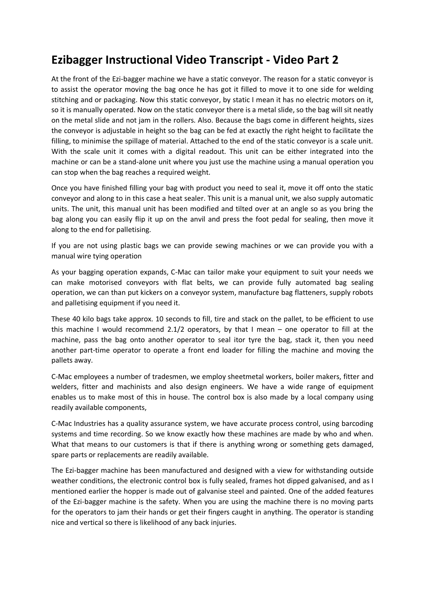## **Ezibagger Instructional Video Transcript - Video Part 2**

At the front of the Ezi-bagger machine we have a static conveyor. The reason for a static conveyor is to assist the operator moving the bag once he has got it filled to move it to one side for welding stitching and or packaging. Now this static conveyor, by static I mean it has no electric motors on it, so it is manually operated. Now on the static conveyor there is a metal slide, so the bag will sit neatly on the metal slide and not jam in the rollers. Also. Because the bags come in different heights, sizes the conveyor is adjustable in height so the bag can be fed at exactly the right height to facilitate the filling, to minimise the spillage of material. Attached to the end of the static conveyor is a scale unit. With the scale unit it comes with a digital readout. This unit can be either integrated into the machine or can be a stand-alone unit where you just use the machine using a manual operation you can stop when the bag reaches a required weight.

Once you have finished filling your bag with product you need to seal it, move it off onto the static conveyor and along to in this case a heat sealer. This unit is a manual unit, we also supply automatic units. The unit, this manual unit has been modified and tilted over at an angle so as you bring the bag along you can easily flip it up on the anvil and press the foot pedal for sealing, then move it along to the end for palletising.

If you are not using plastic bags we can provide sewing machines or we can provide you with a manual wire tying operation

As your bagging operation expands, C-Mac can tailor make your equipment to suit your needs we can make motorised conveyors with flat belts, we can provide fully automated bag sealing operation, we can than put kickers on a conveyor system, manufacture bag flatteners, supply robots and palletising equipment if you need it.

These 40 kilo bags take approx. 10 seconds to fill, tire and stack on the pallet, to be efficient to use this machine I would recommend 2.1/2 operators, by that I mean – one operator to fill at the machine, pass the bag onto another operator to seal itor tyre the bag, stack it, then you need another part-time operator to operate a front end loader for filling the machine and moving the pallets away.

C-Mac employees a number of tradesmen, we employ sheetmetal workers, boiler makers, fitter and welders, fitter and machinists and also design engineers. We have a wide range of equipment enables us to make most of this in house. The control box is also made by a local company using readily available components,

C-Mac Industries has a quality assurance system, we have accurate process control, using barcoding systems and time recording. So we know exactly how these machines are made by who and when. What that means to our customers is that if there is anything wrong or something gets damaged, spare parts or replacements are readily available.

The Ezi-bagger machine has been manufactured and designed with a view for withstanding outside weather conditions, the electronic control box is fully sealed, frames hot dipped galvanised, and as I mentioned earlier the hopper is made out of galvanise steel and painted. One of the added features of the Ezi-bagger machine is the safety. When you are using the machine there is no moving parts for the operators to jam their hands or get their fingers caught in anything. The operator is standing nice and vertical so there is likelihood of any back injuries.